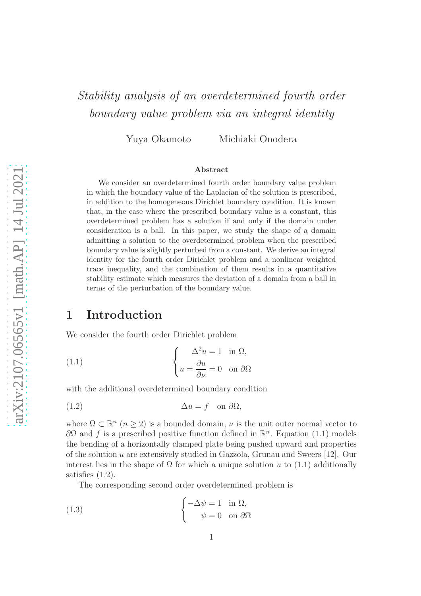# Stability analysis of an overdetermined fourth order boundary value problem via an integral identity

Yuya Okamoto Michiaki Onodera

#### Abstract

We consider an overdetermined fourth order boundary value problem in which the boundary value of the Laplacian of the solution is prescribed, in addition to the homogeneous Dirichlet boundary condition. It is known that, in the case where the prescribed boundary value is a constant, this overdetermined problem has a solution if and only if the domain under consideration is a ball. In this paper, we study the shape of a domain admitting a solution to the overdetermined problem when the prescribed boundary value is slightly perturbed from a constant. We derive an integral identity for the fourth order Dirichlet problem and a nonlinear weighted trace inequality, and the combination of them results in a quantitative stability estimate which measures the deviation of a domain from a ball in terms of the perturbation of the boundary value.

# 1 Introduction

We consider the fourth order Dirichlet problem

(1.1) 
$$
\begin{cases} \Delta^2 u = 1 & \text{in } \Omega, \\ u = \frac{\partial u}{\partial \nu} = 0 & \text{on } \partial \Omega \end{cases}
$$

with the additional overdetermined boundary condition

(1.2) ∆u = f on ∂Ω,

where  $\Omega \subset \mathbb{R}^n$   $(n \geq 2)$  is a bounded domain,  $\nu$  is the unit outer normal vector to  $\partial\Omega$  and f is a prescribed positive function defined in  $\mathbb{R}^n$ . Equation (1.1) models the bending of a horizontally clamped plate being pushed upward and properties of the solution u are extensively studied in Gazzola, Grunau and Sweers [12]. Our interest lies in the shape of  $\Omega$  for which a unique solution u to (1.1) additionally satisfies (1.2).

The corresponding second order overdetermined problem is

(1.3) 
$$
\begin{cases} -\Delta \psi = 1 & \text{in } \Omega, \\ \psi = 0 & \text{on } \partial \Omega \end{cases}
$$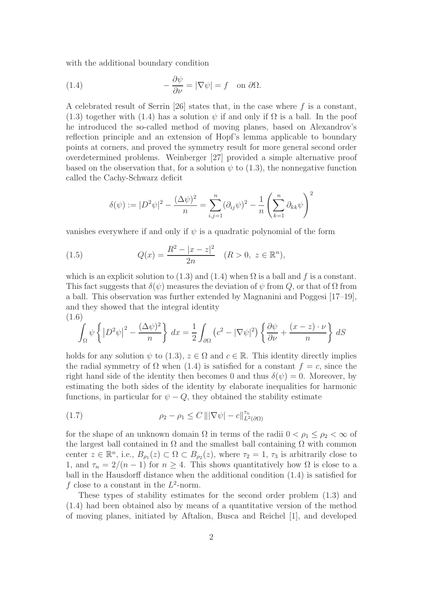with the additional boundary condition

(1.4) 
$$
-\frac{\partial \psi}{\partial \nu} = |\nabla \psi| = f \text{ on } \partial \Omega.
$$

A celebrated result of Serrin [26] states that, in the case where  $f$  is a constant, (1.3) together with (1.4) has a solution  $\psi$  if and only if  $\Omega$  is a ball. In the poof he introduced the so-called method of moving planes, based on Alexandrov's reflection principle and an extension of Hopf's lemma applicable to boundary points at corners, and proved the symmetry result for more general second order overdetermined problems. Weinberger [27] provided a simple alternative proof based on the observation that, for a solution  $\psi$  to (1.3), the nonnegative function called the Cachy-Schwarz deficit

$$
\delta(\psi) := |D^2 \psi|^2 - \frac{(\Delta \psi)^2}{n} = \sum_{i,j=1}^n (\partial_{ij} \psi)^2 - \frac{1}{n} \left( \sum_{k=1}^n \partial_{kk} \psi \right)^2
$$

vanishes everywhere if and only if  $\psi$  is a quadratic polynomial of the form

(1.5) 
$$
Q(x) = \frac{R^2 - |x - z|^2}{2n} \quad (R > 0, \ z \in \mathbb{R}^n),
$$

which is an explicit solution to (1.3) and (1.4) when  $\Omega$  is a ball and f is a constant. This fact suggests that  $\delta(\psi)$  measures the deviation of  $\psi$  from Q, or that of  $\Omega$  from a ball. This observation was further extended by Magnanini and Poggesi [17–19], and they showed that the integral identity (1.6)

$$
\int_{\Omega} \psi \left\{ \left| D^2 \psi \right|^2 - \frac{(\Delta \psi)^2}{n} \right\} dx = \frac{1}{2} \int_{\partial \Omega} \left( c^2 - |\nabla \psi|^2 \right) \left\{ \frac{\partial \psi}{\partial \nu} + \frac{(x - z) \cdot \nu}{n} \right\} dS
$$

holds for any solution  $\psi$  to (1.3),  $z \in \Omega$  and  $c \in \mathbb{R}$ . This identity directly implies the radial symmetry of  $\Omega$  when (1.4) is satisfied for a constant  $f = c$ , since the right hand side of the identity then becomes 0 and thus  $\delta(\psi) = 0$ . Moreover, by estimating the both sides of the identity by elaborate inequalities for harmonic functions, in particular for  $\psi - Q$ , they obtained the stability estimate

(1.7) 
$$
\rho_2 - \rho_1 \leq C \left\| |\nabla \psi| - c \right\|_{L^2(\partial \Omega)}^{\tau_n}
$$

for the shape of an unknown domain  $\Omega$  in terms of the radii  $0 < \rho_1 \leq \rho_2 < \infty$  of the largest ball contained in  $\Omega$  and the smallest ball containing  $\Omega$  with common center  $z \in \mathbb{R}^n$ , i.e.,  $B_{\rho_1}(z) \subset \Omega \subset B_{\rho_2}(z)$ , where  $\tau_2 = 1$ ,  $\tau_3$  is arbitrarily close to 1, and  $\tau_n = 2/(n-1)$  for  $n \geq 4$ . This shows quantitatively how  $\Omega$  is close to a ball in the Hausdorff distance when the additional condition (1.4) is satisfied for f close to a constant in the  $L^2$ -norm.

These types of stability estimates for the second order problem (1.3) and (1.4) had been obtained also by means of a quantitative version of the method of moving planes, initiated by Aftalion, Busca and Reichel [1], and developed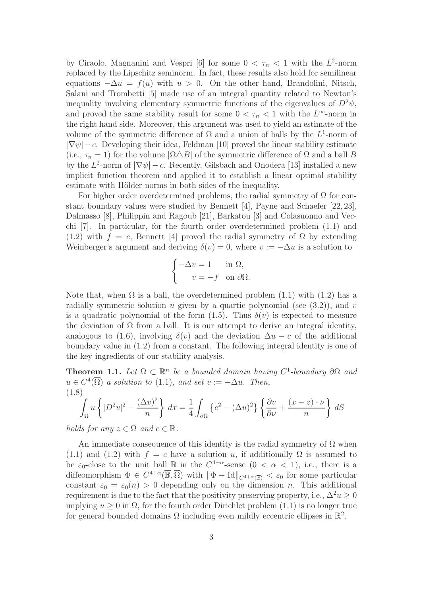by Ciraolo, Magnanini and Vespri [6] for some  $0 < \tau_n < 1$  with the  $L^2$ -norm replaced by the Lipschitz seminorm. In fact, these results also hold for semilinear equations  $-\Delta u = f(u)$  with  $u > 0$ . On the other hand, Brandolini, Nitsch, Salani and Trombetti [5] made use of an integral quantity related to Newton's inequality involving elementary symmetric functions of the eigenvalues of  $D^2\psi$ , and proved the same stability result for some  $0 < \tau_n < 1$  with the  $L^{\infty}$ -norm in the right hand side. Moreover, this argument was used to yield an estimate of the volume of the symmetric difference of  $\Omega$  and a union of balls by the  $L^1$ -norm of  $|\nabla \psi| - c$ . Developing their idea, Feldman [10] proved the linear stability estimate (i.e.,  $\tau_n = 1$ ) for the volume  $|\Omega \triangle B|$  of the symmetric difference of  $\Omega$  and a ball B by the  $L^2$ -norm of  $|\nabla \psi| - c$ . Recently, Gilsbach and Onodera [13] installed a new implicit function theorem and applied it to establish a linear optimal stability estimate with Hölder norms in both sides of the inequality.

For higher order overdetermined problems, the radial symmetry of  $\Omega$  for constant boundary values were studied by Bennett [4], Payne and Schaefer [22, 23], Dalmasso [8], Philippin and Ragoub [21], Barkatou [3] and Colasuonno and Vecchi [7]. In particular, for the fourth order overdetermined problem (1.1) and (1.2) with  $f = c$ , Bennett [4] proved the radial symmetry of  $\Omega$  by extending Weinberger's argument and deriving  $\delta(v) = 0$ , where  $v := -\Delta u$  is a solution to

$$
\begin{cases}\n-\Delta v = 1 & \text{in } \Omega, \\
v = -f & \text{on } \partial \Omega.\n\end{cases}
$$

Note that, when  $\Omega$  is a ball, the overdetermined problem (1.1) with (1.2) has a radially symmetric solution u given by a quartic polynomial (see  $(3.2)$ ), and v is a quadratic polynomial of the form  $(1.5)$ . Thus  $\delta(v)$  is expected to measure the deviation of  $\Omega$  from a ball. It is our attempt to derive an integral identity, analogous to (1.6), involving  $\delta(v)$  and the deviation  $\Delta u - c$  of the additional boundary value in (1.2) from a constant. The following integral identity is one of the key ingredients of our stability analysis.

**Theorem 1.1.** Let  $\Omega \subset \mathbb{R}^n$  be a bounded domain having  $C^1$ -boundary  $\partial\Omega$  and  $u \in C^4(\overline{\Omega})$  a solution to (1.1), and set  $v := -\Delta u$ . Then, (1.8)

$$
\int_{\Omega} u \left\{ |D^2 v|^2 - \frac{(\Delta v)^2}{n} \right\} dx = \frac{1}{4} \int_{\partial \Omega} \left\{ c^2 - (\Delta u)^2 \right\} \left\{ \frac{\partial v}{\partial \nu} + \frac{(x - z) \cdot \nu}{n} \right\} dS
$$

holds for any  $z \in \Omega$  and  $c \in \mathbb{R}$ .

An immediate consequence of this identity is the radial symmetry of  $\Omega$  when (1.1) and (1.2) with  $f = c$  have a solution u, if additionally  $\Omega$  is assumed to be  $\varepsilon_0$ -close to the unit ball  $\mathbb B$  in the  $C^{4+\alpha}$ -sense  $(0 < \alpha < 1)$ , i.e., there is a diffeomorphism  $\Phi \in C^{4+\alpha}(\overline{\mathbb{B}}, \overline{\Omega})$  with  $\|\Phi - \text{Id}\|_{C^{4+\alpha}(\overline{\mathbb{B}})} < \varepsilon_0$  for some particular constant  $\varepsilon_0 = \varepsilon_0(n) > 0$  depending only on the dimension n. This additional requirement is due to the fact that the positivity preserving property, i.e.,  $\Delta^2 u \geq 0$ implying  $u > 0$  in  $\Omega$ , for the fourth order Dirichlet problem (1.1) is no longer true for general bounded domains  $\Omega$  including even mildly eccentric ellipses in  $\mathbb{R}^2$ .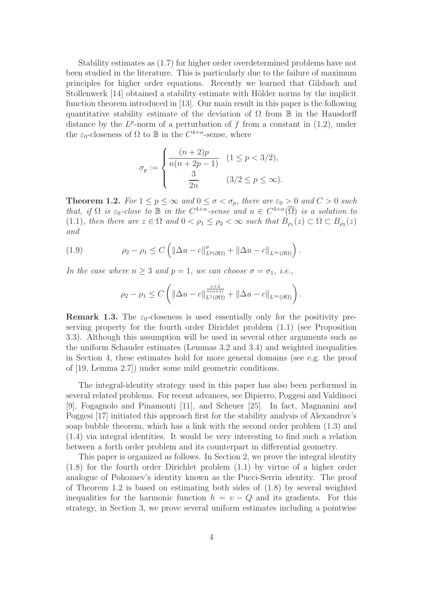Stability estimates as (1.7) for higher order overdetermined problems have not been studied in the literature. This is particularly due to the failure of maximum principles for higher order equations. Recently we learned that Gilsbach and Stollenwerk [14] obtained a stability estimate with Hölder norms by the implicit function theorem introduced in [13]. Our main result in this paper is the following quantitative stability estimate of the deviation of  $\Omega$  from  $\mathbb B$  in the Hausdorff distance by the  $L^p$ -norm of a perturbation of f from a constant in  $(1.2)$ , under the  $\varepsilon_0$ -closeness of  $\Omega$  to  $\mathbb B$  in the  $C^{4+\alpha}$ -sense, where

$$
\sigma_p := \begin{cases} \frac{(n+2)p}{n(n+2p-1)} & (1 \le p < 3/2), \\ \frac{3}{2n} & (3/2 \le p \le \infty). \end{cases}
$$

**Theorem 1.2.** For  $1 \le p \le \infty$  and  $0 \le \sigma < \sigma_p$ , there are  $\varepsilon_0 > 0$  and  $C > 0$  such that, if  $\Omega$  is  $\varepsilon_0$ -close to  $\mathbb B$  in the  $C^{4+\alpha}$ -sense and  $u \in C^{4+\alpha}(\overline{\Omega})$  is a solution to (1.1), then there are  $z \in \Omega$  and  $0 < \rho_1 \leq \rho_2 < \infty$  such that  $B_{\rho_1}(z) \subset \Omega \subset B_{\rho_2}(z)$ and

(1.9) 
$$
\rho_2 - \rho_1 \leq C \left( \|\Delta u - c\|_{L^p(\partial\Omega)}^{\sigma} + \|\Delta u - c\|_{L^{\infty}(\partial\Omega)} \right).
$$

In the case where  $n \geq 3$  and  $p = 1$ , we can choose  $\sigma = \sigma_1$ , *i.e.*,

$$
\rho_2 - \rho_1 \le C \left( \left\| \Delta u - c \right\|_{L^1(\partial \Omega)}^{\frac{n+2}{n(n+1)}} + \left\| \Delta u - c \right\|_{L^\infty(\partial \Omega)} \right).
$$

**Remark 1.3.** The  $\varepsilon_0$ -closeness is used essentially only for the positivity preserving property for the fourth order Dirichlet problem (1.1) (see Proposition 3.3). Although this assumption will be used in several other arguments such as the uniform Schauder estimates (Lemmas 3.2 and 3.4) and weighted inequalities in Section 4, these estimates hold for more general domains (see e.g. the proof of [19, Lemma 2.7]) under some mild geometric conditions.

The integral-identity strategy used in this paper has also been performed in several related problems. For recent advances, see Dipierro, Poggesi and Valdinoci [9], Fogagnolo and Pinamonti [11], and Scheuer [25]. In fact, Magnanini and Poggesi [17] initiated this approach first for the stability analysis of Alexandrov's soap bubble theorem, which has a link with the second order problem (1.3) and (1.4) via integral identities. It would be very interesting to find such a relation between a forth order problem and its counterpart in differential geometry.

This paper is organized as follows. In Section 2, we prove the integral identity (1.8) for the fourth order Dirichlet problem (1.1) by virtue of a higher order analogue of Pohozaev's identity known as the Pucci-Serrin identity. The proof of Theorem 1.2 is based on estimating both sides of (1.8) by several weighted inequalities for the harmonic function  $h = v - Q$  and its gradients. For this strategy, in Section 3, we prove several uniform estimates including a pointwise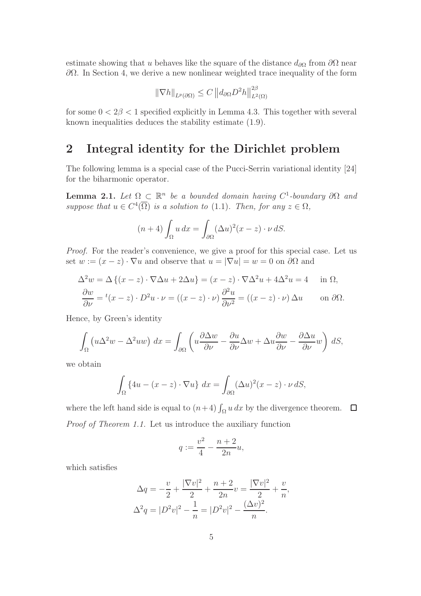estimate showing that u behaves like the square of the distance  $d_{\partial\Omega}$  from  $\partial\Omega$  near  $\partial Ω$ . In Section 4, we derive a new nonlinear weighted trace inequality of the form

$$
\|\nabla h\|_{L^p(\partial\Omega)} \le C \, \|d_{\partial\Omega} D^2 h\|_{L^2(\Omega)}^{2\beta}
$$

for some  $0 < 2\beta < 1$  specified explicitly in Lemma 4.3. This together with several known inequalities deduces the stability estimate (1.9).

# 2 Integral identity for the Dirichlet problem

The following lemma is a special case of the Pucci-Serrin variational identity [24] for the biharmonic operator.

**Lemma 2.1.** Let  $\Omega \subset \mathbb{R}^n$  be a bounded domain having  $C^1$ -boundary  $\partial\Omega$  and suppose that  $u \in C^4(\overline{\Omega})$  is a solution to (1.1). Then, for any  $z \in \Omega$ ,

$$
(n+4)\int_{\Omega} u\,dx = \int_{\partial\Omega} (\Delta u)^2 (x-z) \cdot \nu \,dS.
$$

Proof. For the reader's convenience, we give a proof for this special case. Let us set  $w := (x - z) \cdot \nabla u$  and observe that  $u = |\nabla u| = w = 0$  on  $\partial \Omega$  and

$$
\Delta^2 w = \Delta \{ (x - z) \cdot \nabla \Delta u + 2\Delta u \} = (x - z) \cdot \nabla \Delta^2 u + 4\Delta^2 u = 4 \quad \text{in } \Omega,
$$
  

$$
\frac{\partial w}{\partial \nu} = {}^t (x - z) \cdot D^2 u \cdot \nu = ((x - z) \cdot \nu) \frac{\partial^2 u}{\partial \nu^2} = ((x - z) \cdot \nu) \Delta u \quad \text{on } \partial \Omega.
$$

Hence, by Green's identity

$$
\int_{\Omega} \left( u \Delta^2 w - \Delta^2 u w \right) dx = \int_{\partial \Omega} \left( u \frac{\partial \Delta w}{\partial \nu} - \frac{\partial u}{\partial \nu} \Delta w + \Delta u \frac{\partial w}{\partial \nu} - \frac{\partial \Delta u}{\partial \nu} w \right) dS,
$$

we obtain

$$
\int_{\Omega} \{4u - (x - z) \cdot \nabla u\} dx = \int_{\partial \Omega} (\Delta u)^2 (x - z) \cdot \nu \, dS,
$$

where the left hand side is equal to  $(n+4) \int_{\Omega} u \, dx$  by the divergence theorem. Proof of Theorem 1.1. Let us introduce the auxiliary function

$$
q := \frac{v^2}{4} - \frac{n+2}{2n}u,
$$

which satisfies

$$
\Delta q = -\frac{v}{2} + \frac{|\nabla v|^2}{2} + \frac{n+2}{2n}v = \frac{|\nabla v|^2}{2} + \frac{v}{n},
$$
  

$$
\Delta^2 q = |D^2 v|^2 - \frac{1}{n} = |D^2 v|^2 - \frac{(\Delta v)^2}{n}.
$$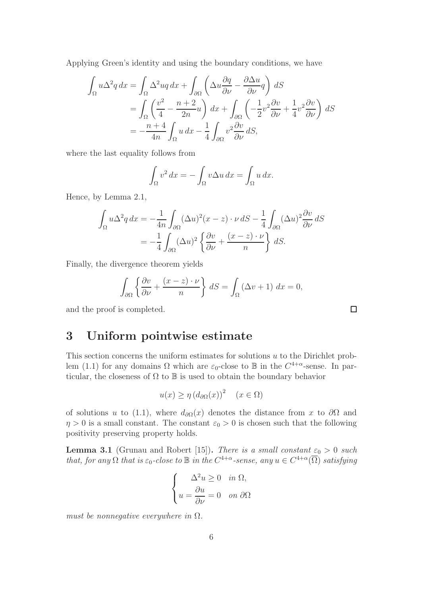Applying Green's identity and using the boundary conditions, we have

$$
\int_{\Omega} u \Delta^2 q \, dx = \int_{\Omega} \Delta^2 u q \, dx + \int_{\partial \Omega} \left( \Delta u \frac{\partial q}{\partial \nu} - \frac{\partial \Delta u}{\partial \nu} q \right) \, dS
$$
\n
$$
= \int_{\Omega} \left( \frac{v^2}{4} - \frac{n+2}{2n} u \right) \, dx + \int_{\partial \Omega} \left( -\frac{1}{2} v^2 \frac{\partial v}{\partial \nu} + \frac{1}{4} v^2 \frac{\partial v}{\partial \nu} \right) \, dS
$$
\n
$$
= -\frac{n+4}{4n} \int_{\Omega} u \, dx - \frac{1}{4} \int_{\partial \Omega} v^2 \frac{\partial v}{\partial \nu} \, dS,
$$

where the last equality follows from

$$
\int_{\Omega} v^2 dx = -\int_{\Omega} v \Delta u dx = \int_{\Omega} u dx.
$$

Hence, by Lemma 2.1,

$$
\int_{\Omega} u \Delta^2 q \, dx = -\frac{1}{4n} \int_{\partial \Omega} (\Delta u)^2 (x - z) \cdot \nu \, dS - \frac{1}{4} \int_{\partial \Omega} (\Delta u)^2 \frac{\partial v}{\partial \nu} \, dS
$$

$$
= -\frac{1}{4} \int_{\partial \Omega} (\Delta u)^2 \left\{ \frac{\partial v}{\partial \nu} + \frac{(x - z) \cdot \nu}{n} \right\} \, dS.
$$

Finally, the divergence theorem yields

$$
\int_{\partial\Omega} \left\{ \frac{\partial v}{\partial \nu} + \frac{(x-z) \cdot \nu}{n} \right\} dS = \int_{\Omega} (\Delta v + 1) dx = 0,
$$

and the proof is completed.

## 3 Uniform pointwise estimate

This section concerns the uniform estimates for solutions u to the Dirichlet problem (1.1) for any domains  $\Omega$  which are  $\varepsilon_0$ -close to  $\mathbb B$  in the  $C^{4+\alpha}$ -sense. In particular, the closeness of  $\Omega$  to  $\mathbb B$  is used to obtain the boundary behavior

$$
u(x) \ge \eta \left( d_{\partial\Omega}(x) \right)^2 \quad (x \in \Omega)
$$

of solutions u to (1.1), where  $d_{\partial\Omega}(x)$  denotes the distance from x to  $\partial\Omega$  and  $\eta > 0$  is a small constant. The constant  $\varepsilon_0 > 0$  is chosen such that the following positivity preserving property holds.

**Lemma 3.1** (Grunau and Robert [15]). There is a small constant  $\varepsilon_0 > 0$  such that, for any  $\Omega$  that is  $\varepsilon_0$ -close to  $\mathbb B$  in the  $C^{4+\alpha}$ -sense, any  $u \in C^{4+\alpha}(\overline{\Omega})$  satisfying

$$
\begin{cases}\n\Delta^2 u \ge 0 & \text{in } \Omega, \\
u = \frac{\partial u}{\partial \nu} = 0 & \text{on } \partial \Omega\n\end{cases}
$$

must be nonnegative everywhere in  $\Omega$ .

 $\Box$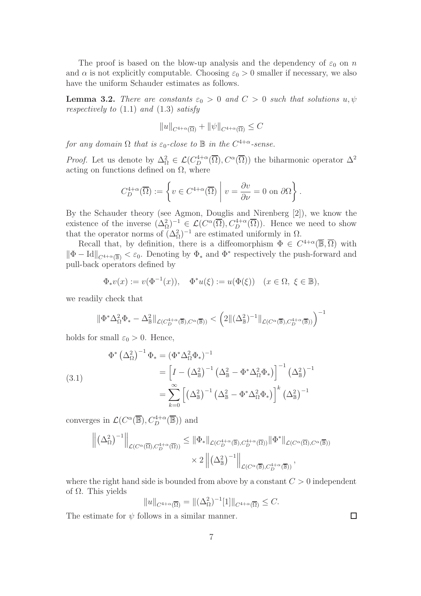The proof is based on the blow-up analysis and the dependency of  $\varepsilon_0$  on n and  $\alpha$  is not explicitly computable. Choosing  $\varepsilon_0 > 0$  smaller if necessary, we also have the uniform Schauder estimates as follows.

**Lemma 3.2.** There are constants  $\varepsilon_0 > 0$  and  $C > 0$  such that solutions  $u, \psi$ respectively to  $(1.1)$  and  $(1.3)$  satisfy

$$
||u||_{C^{4+\alpha}(\overline{\Omega})} + ||\psi||_{C^{4+\alpha}(\overline{\Omega})} \leq C
$$

for any domain  $\Omega$  that is  $\varepsilon_0$ -close to  $\mathbb B$  in the  $C^{4+\alpha}$ -sense.

*Proof.* Let us denote by  $\Delta^2_{\Omega} \in \mathcal{L}(C^{4+\alpha}_{D}(\overline{\Omega}), C^{\alpha}(\overline{\Omega}))$  the biharmonic operator  $\Delta^2$ acting on functions defined on  $\Omega$ , where

$$
C_D^{4+\alpha}(\overline{\Omega}) := \left\{ v \in C^{4+\alpha}(\overline{\Omega}) \mid v = \frac{\partial v}{\partial \nu} = 0 \text{ on } \partial \Omega \right\}.
$$

By the Schauder theory (see Agmon, Douglis and Nirenberg [2]), we know the existence of the inverse  $(\Delta^2_{\Omega})^{-1} \in \mathcal{L}(C^{\alpha}(\overline{\Omega}), C^{4+\alpha}_{D}(\overline{\Omega}))$ . Hence we need to show that the operator norms of  $(\Delta_{\Omega}^2)^{-1}$  are estimated uniformly in  $\Omega$ .

Recall that, by definition, there is a diffeomorphism  $\Phi \in C^{4+\alpha}(\overline{\mathbb{B}}, \overline{\Omega})$  with  $\|\Phi - \text{Id}\|_{C^{4+\alpha}(\overline{\mathbb{B}})} < \varepsilon_0$ . Denoting by  $\Phi_*$  and  $\Phi^*$  respectively the push-forward and pull-back operators defined by

$$
\Phi_*v(x):=v(\Phi^{-1}(x)),\quad \Phi^*u(\xi):=u(\Phi(\xi))\quad (x\in\Omega,\ \xi\in\mathbb{B}),
$$

we readily check that

$$
\|\Phi^*\Delta_\Omega^2\Phi_*-\Delta_\mathbb{B}^2\|_{\mathcal{L}(C^{4+\alpha}_D(\overline{\mathbb{B}}),C^\alpha(\overline{\mathbb{B}}))}<\Big(2\|(\Delta^2_\mathbb{B})^{-1}\|_{\mathcal{L}(C^\alpha(\overline{\mathbb{B}}),C^{4+\alpha}_D(\overline{\mathbb{B}}))}\Big)^{-1}
$$

holds for small  $\varepsilon_0 > 0$ . Hence,

$$
\Phi^* \left(\Delta_\Omega^2\right)^{-1} \Phi_* = \left(\Phi^* \Delta_\Omega^2 \Phi_*\right)^{-1}
$$
\n
$$
= \left[I - \left(\Delta_\mathbb{B}^2\right)^{-1} \left(\Delta_\mathbb{B}^2 - \Phi^* \Delta_\Omega^2 \Phi_*\right)\right]^{-1} \left(\Delta_\mathbb{B}^2\right)^{-1}
$$
\n
$$
= \sum_{k=0}^\infty \left[\left(\Delta_\mathbb{B}^2\right)^{-1} \left(\Delta_\mathbb{B}^2 - \Phi^* \Delta_\Omega^2 \Phi_*\right)\right]^k \left(\Delta_\mathbb{B}^2\right)^{-1}
$$

converges in  $\mathcal{L}(C^{\alpha}(\overline{\mathbb{B}}), C_{D}^{4+\alpha}(\overline{\mathbb{B}}))$  and

$$
\left\| \left( \Delta_{\Omega}^2 \right)^{-1} \right\|_{\mathcal{L}(C^{\alpha}(\overline{\Omega}), C_D^{4+\alpha}(\overline{\Omega}))} \leq \left\| \Phi_* \right\|_{\mathcal{L}(C_D^{4+\alpha}(\overline{\mathbb{B}}), C_D^{4+\alpha}(\overline{\Omega}))} \left\| \Phi^* \right\|_{\mathcal{L}(C^{\alpha}(\overline{\Omega}), C^{\alpha}(\overline{\mathbb{B}}))}
$$

$$
\times 2 \left\| \left( \Delta_{\mathbb{B}}^2 \right)^{-1} \right\|_{\mathcal{L}(C^{\alpha}(\overline{\mathbb{B}}), C_D^{4+\alpha}(\overline{\mathbb{B}}))},
$$

where the right hand side is bounded from above by a constant  $C > 0$  independent of Ω. This yields

$$
||u||_{C^{4+\alpha}(\overline{\Omega})} = ||(\Delta_{\Omega}^2)^{-1}[1]||_{C^{4+\alpha}(\overline{\Omega})} \leq C.
$$

The estimate for  $\psi$  follows in a similar manner.

 $\Box$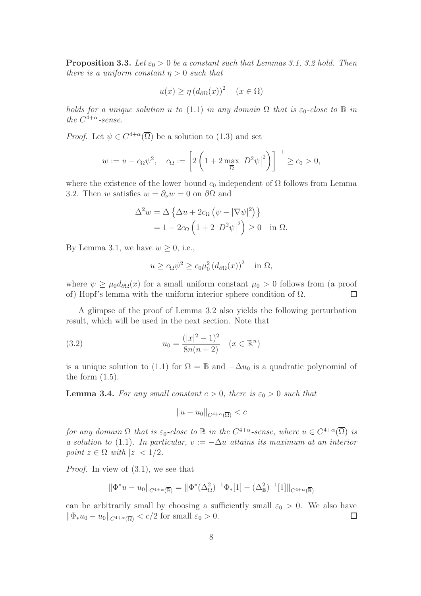**Proposition 3.3.** Let  $\varepsilon_0 > 0$  be a constant such that Lemmas 3.1, 3.2 hold. Then there is a uniform constant  $\eta > 0$  such that

$$
u(x) \ge \eta \left( d_{\partial\Omega}(x) \right)^2 \quad (x \in \Omega)
$$

holds for a unique solution u to (1.1) in any domain  $\Omega$  that is  $\varepsilon_0$ -close to  $\mathbb B$  in the  $C^{4+\alpha}$ -sense.

*Proof.* Let  $\psi \in C^{4+\alpha}(\overline{\Omega})$  be a solution to (1.3) and set

$$
w := u - c_{\Omega} \psi^{2}, \quad c_{\Omega} := \left[ 2 \left( 1 + 2 \max_{\overline{\Omega}} |D^{2} \psi|^{2} \right) \right]^{-1} \ge c_{0} > 0,
$$

where the existence of the lower bound  $c_0$  independent of  $\Omega$  follows from Lemma 3.2. Then w satisfies  $w = \partial_\nu w = 0$  on  $\partial\Omega$  and

$$
\Delta^2 w = \Delta \left\{ \Delta u + 2c_{\Omega} \left( \psi - |\nabla \psi|^2 \right) \right\}
$$
  
= 1 - 2c\_{\Omega} \left( 1 + 2 |D^2 \psi|^2 \right) \ge 0 \text{ in } \Omega.

By Lemma 3.1, we have  $w \geq 0$ , i.e.,

$$
u \ge c_{\Omega} \psi^2 \ge c_0 \mu_0^2 (d_{\partial \Omega}(x))^2 \quad \text{in } \Omega,
$$

where  $\psi \geq \mu_0 d_{\partial\Omega}(x)$  for a small uniform constant  $\mu_0 > 0$  follows from (a proof of) Hopf's lemma with the uniform interior sphere condition of  $\Omega$ . П

A glimpse of the proof of Lemma 3.2 also yields the following perturbation result, which will be used in the next section. Note that

(3.2) 
$$
u_0 = \frac{(|x|^2 - 1)^2}{8n(n+2)} \quad (x \in \mathbb{R}^n)
$$

is a unique solution to (1.1) for  $\Omega = \mathbb{B}$  and  $-\Delta u_0$  is a quadratic polynomial of the form  $(1.5)$ .

**Lemma 3.4.** For any small constant  $c > 0$ , there is  $\varepsilon_0 > 0$  such that

$$
||u - u_0||_{C^{4+\alpha}(\overline{\Omega})} < c
$$

for any domain  $\Omega$  that is  $\varepsilon_0$ -close to  $\mathbb B$  in the  $C^{4+\alpha}$ -sense, where  $u \in C^{4+\alpha}(\overline{\Omega})$  is a solution to (1.1). In particular,  $v := -\Delta u$  attains its maximum at an interior point  $z \in \Omega$  with  $|z| < 1/2$ .

Proof. In view of (3.1), we see that

$$
\|\Phi^*u - u_0\|_{C^{4+\alpha}(\overline{\mathbb{B}})} = \|\Phi^*(\Delta_{\Omega}^2)^{-1}\Phi_*[1] - (\Delta_{\mathbb{B}}^2)^{-1}[1]\|_{C^{4+\alpha}(\overline{\mathbb{B}})}
$$

can be arbitrarily small by choosing a sufficiently small  $\varepsilon_0 > 0$ . We also have  $\|\Phi_*u_0 - u_0\|_{C^{4+\alpha}(\overline{\Omega})} < c/2$  for small  $\varepsilon_0 > 0$ .  $\Box$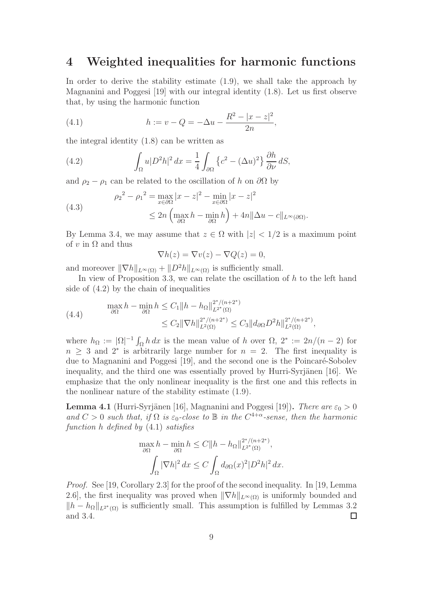## 4 Weighted inequalities for harmonic functions

In order to derive the stability estimate (1.9), we shall take the approach by Magnanini and Poggesi [19] with our integral identity (1.8). Let us first observe that, by using the harmonic function

,

(4.1) 
$$
h := v - Q = -\Delta u - \frac{R^2 - |x - z|^2}{2n}
$$

the integral identity (1.8) can be written as

(4.2) 
$$
\int_{\Omega} u|D^2h|^2 dx = \frac{1}{4} \int_{\partial\Omega} \left\{ c^2 - (\Delta u)^2 \right\} \frac{\partial h}{\partial \nu} dS,
$$

and  $\rho_2 - \rho_1$  can be related to the oscillation of h on  $\partial\Omega$  by

(4.3)  

$$
\rho_2^2 - \rho_1^2 = \max_{x \in \partial \Omega} |x - z|^2 - \min_{x \in \partial \Omega} |x - z|^2
$$

$$
\leq 2n \left( \max_{\partial \Omega} h - \min_{\partial \Omega} h \right) + 4n ||\Delta u - c||_{L^{\infty}(\partial \Omega)}.
$$

By Lemma 3.4, we may assume that  $z \in \Omega$  with  $|z| < 1/2$  is a maximum point of v in  $\Omega$  and thus

$$
\nabla h(z) = \nabla v(z) - \nabla Q(z) = 0,
$$

and moreover  $\|\nabla h\|_{L^{\infty}(\Omega)} + \|D^2 h\|_{L^{\infty}(\Omega)}$  is sufficiently small.

In view of Proposition 3.3, we can relate the oscillation of  $h$  to the left hand side of (4.2) by the chain of inequalities

(4.4) 
$$
\max_{\partial\Omega} h - \min_{\partial\Omega} h \leq C_1 \|h - h_{\Omega}\|_{L^{2^*}(\Omega)}^{2^*/(n+2^*)} \\ \leq C_2 \|\nabla h\|_{L^2(\Omega)}^{2^*/(n+2^*)} \leq C_3 \|d_{\partial\Omega} D^2 h\|_{L^2(\Omega)}^{2^*/(n+2^*)},
$$

where  $h_{\Omega} := |\Omega|^{-1} \int_{\Omega} h \, dx$  is the mean value of h over  $\Omega, 2^* := 2n/(n-2)$  for  $n \geq 3$  and  $2^*$  is arbitrarily large number for  $n = 2$ . The first inequality is due to Magnanini and Poggesi [19], and the second one is the Poincaré-Sobolev inequality, and the third one was essentially proved by Hurri-Syrjänen  $[16]$ . We emphasize that the only nonlinear inequality is the first one and this reflects in the nonlinear nature of the stability estimate (1.9).

**Lemma 4.1** (Hurri-Syrjänen [16], Magnanini and Poggesi [19]). There are  $\varepsilon_0 > 0$ and  $C > 0$  such that, if  $\Omega$  is  $\varepsilon_0$ -close to  $\mathbb B$  in the  $C^{4+\alpha}$ -sense, then the harmonic function h defined by (4.1) satisfies

$$
\max_{\partial\Omega} h - \min_{\partial\Omega} h \le C \|h - h_{\Omega}\|_{L^{2^*}(\Omega)}^{2^*/(n+2^*)},
$$

$$
\int_{\Omega} |\nabla h|^2 dx \le C \int_{\Omega} d_{\partial\Omega}(x)^2 |D^2 h|^2 dx.
$$

Proof. See [19, Corollary 2.3] for the proof of the second inequality. In [19, Lemma 2.6], the first inequality was proved when  $\|\nabla h\|_{L^{\infty}(\Omega)}$  is uniformly bounded and  $||h - h_{\Omega}||_{L^{2^*}(\Omega)}$  is sufficiently small. This assumption is fulfilled by Lemmas 3.2 and 3.4.  $\Box$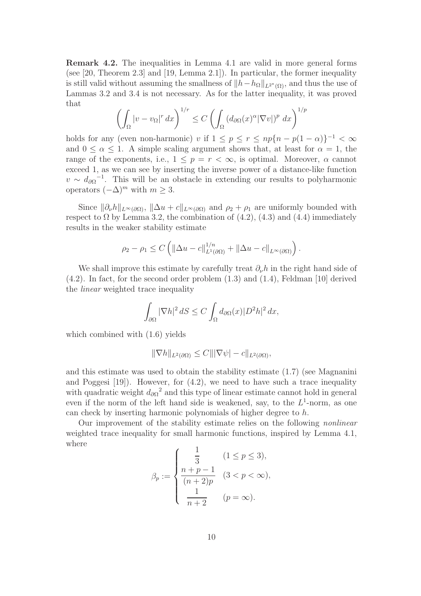Remark 4.2. The inequalities in Lemma 4.1 are valid in more general forms (see  $[20,$  Theorem 2.3] and  $[19,$  Lemma 2.1]). In particular, the former inequality is still valid without assuming the smallness of  $||h-h_{\Omega}||_{L^{2^{*}}(\Omega)}$ , and thus the use of Lammas 3.2 and 3.4 is not necessary. As for the latter inequality, it was proved that

$$
\left(\int_{\Omega} |v - v_{\Omega}|^r dx\right)^{1/r} \le C \left(\int_{\Omega} (d_{\partial\Omega}(x)^{\alpha} |\nabla v|)^p dx\right)^{1/p}
$$

holds for any (even non-harmonic) v if  $1 \le p \le r \le np\{n - p(1 - \alpha)\}^{-1} < \infty$ and  $0 \leq \alpha \leq 1$ . A simple scaling argument shows that, at least for  $\alpha = 1$ , the range of the exponents, i.e.,  $1 \leq p = r \leq \infty$ , is optimal. Moreover,  $\alpha$  cannot exceed 1, as we can see by inserting the inverse power of a distance-like function  $v \sim d_{\partial \Omega}^{-1}$ . This will be an obstacle in extending our results to polyharmonic operators  $(-\Delta)^m$  with  $m \geq 3$ .

Since  $\|\partial_{\nu}h\|_{L^{\infty}(\partial\Omega)}$ ,  $\|\Delta u + c\|_{L^{\infty}(\partial\Omega)}$  and  $\rho_2 + \rho_1$  are uniformly bounded with respect to  $\Omega$  by Lemma 3.2, the combination of  $(4.2)$ ,  $(4.3)$  and  $(4.4)$  immediately results in the weaker stability estimate

$$
\rho_2 - \rho_1 \le C \left( \left\| \Delta u - c \right\|_{L^1(\partial \Omega)}^{1/n} + \left\| \Delta u - c \right\|_{L^\infty(\partial \Omega)} \right).
$$

We shall improve this estimate by carefully treat  $\partial_{\nu}h$  in the right hand side of (4.2). In fact, for the second order problem (1.3) and (1.4), Feldman [10] derived the linear weighted trace inequality

$$
\int_{\partial\Omega} |\nabla h|^2 \, dS \le C \int_{\Omega} d_{\partial\Omega}(x) |D^2 h|^2 \, dx,
$$

which combined with (1.6) yields

$$
\|\nabla h\|_{L^2(\partial\Omega)} \leq C \||\nabla\psi| - c\|_{L^2(\partial\Omega)},
$$

and this estimate was used to obtain the stability estimate (1.7) (see Magnanini and Poggesi [19]). However, for (4.2), we need to have such a trace inequality with quadratic weight  $d_{\partial\Omega}^2$  and this type of linear estimate cannot hold in general even if the norm of the left hand side is weakened, say, to the  $L^1$ -norm, as one can check by inserting harmonic polynomials of higher degree to h.

Our improvement of the stability estimate relies on the following nonlinear weighted trace inequality for small harmonic functions, inspired by Lemma 4.1, where

$$
\beta_p := \begin{cases} \frac{1}{3} & (1 \le p \le 3), \\ \frac{n+p-1}{(n+2)p} & (3 < p < \infty), \\ \frac{1}{n+2} & (p = \infty). \end{cases}
$$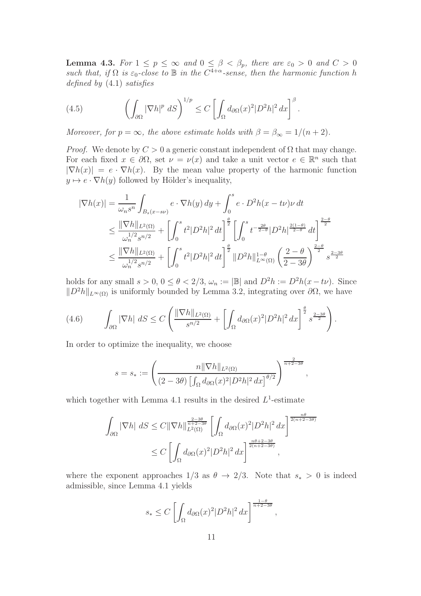**Lemma 4.3.** For  $1 \leq p \leq \infty$  and  $0 \leq \beta < \beta_p$ , there are  $\varepsilon_0 > 0$  and  $C > 0$ such that, if  $\Omega$  is  $\varepsilon_0$ -close to  $\mathbb B$  in the  $C^{4+\alpha}$ -sense, then the harmonic function h defined by (4.1) satisfies

.

(4.5) 
$$
\left(\int_{\partial\Omega}|\nabla h|^p\ dS\right)^{1/p} \leq C\left[\int_{\Omega}d_{\partial\Omega}(x)^2|D^2h|^2\ dx\right]^{\beta}
$$

Moreover, for  $p = \infty$ , the above estimate holds with  $\beta = \beta_{\infty} = 1/(n+2)$ .

*Proof.* We denote by  $C > 0$  a generic constant independent of  $\Omega$  that may change. For each fixed  $x \in \partial\Omega$ , set  $\nu = \nu(x)$  and take a unit vector  $e \in \mathbb{R}^n$  such that  $|\nabla h(x)| = e \cdot \nabla h(x)$ . By the mean value property of the harmonic function  $y \mapsto e \cdot \nabla h(y)$  followed by Hölder's inequality,

$$
|\nabla h(x)| = \frac{1}{\omega_n s^n} \int_{B_s(x-s\nu)} e \cdot \nabla h(y) \, dy + \int_0^s e \cdot D^2 h(x - t\nu) \nu \, dt
$$
  
\n
$$
\leq \frac{\|\nabla h\|_{L^2(\Omega)}}{\omega_n^{1/2} s^{n/2}} + \left[ \int_0^s t^2 |D^2 h|^2 \, dt \right]^{\frac{\theta}{2}} \left[ \int_0^s t^{-\frac{2\theta}{2-\theta}} |D^2 h|^{\frac{2(1-\theta)}{2-\theta}} \, dt \right]^{\frac{2-\theta}{2}}
$$
  
\n
$$
\leq \frac{\|\nabla h\|_{L^2(\Omega)}}{\omega_n^{1/2} s^{n/2}} + \left[ \int_0^s t^2 |D^2 h|^2 \, dt \right]^{\frac{\theta}{2}} \|D^2 h\|_{L^\infty(\Omega)}^{1-\theta} \left( \frac{2-\theta}{2-3\theta} \right)^{\frac{2-\theta}{2}} s^{\frac{2-3\theta}{2}}
$$

holds for any small  $s > 0$ ,  $0 \le \theta < 2/3$ ,  $\omega_n := |\mathbb{B}|$  and  $D^2 h := D^2 h(x - t\nu)$ . Since  $||D^2h||_{L^{\infty}(\Omega)}$  is uniformly bounded by Lemma 3.2, integrating over ∂Ω, we have

$$
(4.6) \qquad \int_{\partial\Omega} |\nabla h| \ dS \le C \left( \frac{\|\nabla h\|_{L^2(\Omega)}}{s^{n/2}} + \left[ \int_{\Omega} d_{\partial\Omega}(x)^2 |D^2 h|^2 \ dx \right]^{\frac{\theta}{2}} s^{\frac{2-3\theta}{2}} \right).
$$

In order to optimize the inequality, we choose

$$
s = s_* := \left(\frac{n\|\nabla h\|_{L^2(\Omega)}}{(2 - 3\theta) \left[\int_{\Omega} d_{\partial\Omega}(x)^2 |D^2 h|^2 dx\right]^{\theta/2}}\right)^{\frac{2}{n + 2 - 3\theta}},
$$

which together with Lemma 4.1 results in the desired  $L^1$ -estimate

$$
\int_{\partial\Omega} |\nabla h| \, dS \le C \|\nabla h\|_{L^2(\Omega)}^{\frac{2-3\theta}{n+2-3\theta}} \left[ \int_{\Omega} d_{\partial\Omega}(x)^2 |D^2 h|^2 \, dx \right]^{\frac{n\theta}{2(n+2-3\theta)}} \n\le C \left[ \int_{\Omega} d_{\partial\Omega}(x)^2 |D^2 h|^2 \, dx \right]^{\frac{n\theta+2-3\theta}{2(n+2-3\theta)}},
$$

where the exponent approaches  $1/3$  as  $\theta \rightarrow 2/3$ . Note that  $s_* > 0$  is indeed admissible, since Lemma 4.1 yields

$$
s_* \le C \left[ \int_{\Omega} d_{\partial \Omega}(x)^2 |D^2 h|^2 dx \right]^{\frac{1-\theta}{n+2-3\theta}},
$$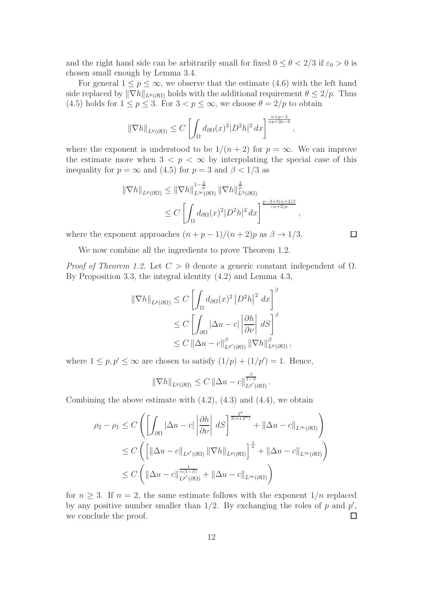and the right hand side can be arbitrarily small for fixed  $0 \le \theta < 2/3$  if  $\varepsilon_0 > 0$  is chosen small enough by Lemma 3.4.

For general  $1 \leq p \leq \infty$ , we observe that the estimate (4.6) with the left hand side replaced by  $\|\nabla h\|_{L^p(\partial\Omega)}$  holds with the additional requirement  $\theta \leq 2/p$ . Thus (4.5) holds for  $1 \le p \le 3$ . For  $3 < p \le \infty$ , we choose  $\theta = 2/p$  to obtain

$$
\|\nabla h\|_{L^p(\partial\Omega)} \le C \left[ \int_{\Omega} d_{\partial\Omega}(x)^2 |D^2 h|^2 dx \right]^{\frac{n+p-3}{np+2p-6}}
$$

,

,

 $\Box$ 

where the exponent is understood to be  $1/(n+2)$  for  $p = \infty$ . We can improve the estimate more when  $3 < p < \infty$  by interpolating the special case of this inequality for  $p = \infty$  and (4.5) for  $p = 3$  and  $\beta < 1/3$  as

$$
\|\nabla h\|_{L^p(\partial\Omega)} \le \|\nabla h\|_{L^\infty(\partial\Omega)}^{1-\frac{3}{p}} \|\nabla h\|_{L^3(\partial\Omega)}^{\frac{3}{p}} \n\le C \left[ \int_{\Omega} d_{\partial\Omega}(x)^2 |D^2 h|^2 dx \right]^{\frac{p-3+3(n+2)\beta}{(n+2)p}}
$$

where the exponent approaches  $(n+p-1)/(n+2)p$  as  $\beta \rightarrow 1/3$ .

We now combine all the ingredients to prove Theorem 1.2.

Proof of Theorem 1.2. Let  $C > 0$  denote a generic constant independent of  $\Omega$ . By Proposition 3.3, the integral identity (4.2) and Lemma 4.3,

$$
\|\nabla h\|_{L^{p}(\partial\Omega)} \leq C \left[ \int_{\Omega} d_{\partial\Omega}(x)^{2} |D^{2}h|^{2} dx \right]^{\beta}
$$
  
\n
$$
\leq C \left[ \int_{\partial\Omega} |\Delta u - c| \left| \frac{\partial h}{\partial \nu} \right| dS \right]^{\beta}
$$
  
\n
$$
\leq C \left[ |\Delta u - c| \right]^{\beta}_{L^{p'}(\partial\Omega)} \left\| \nabla h \right\|_{L^{p}(\partial\Omega)}^{\beta},
$$

where  $1 \le p, p' \le \infty$  are chosen to satisfy  $(1/p) + (1/p') = 1$ . Hence,

$$
\|\nabla h\|_{L^p(\partial\Omega)} \leq C \|\Delta u - c\|_{L^{p'}(\partial\Omega)}^{\frac{\beta}{1-\beta}}.
$$

Combining the above estimate with  $(4.2)$ ,  $(4.3)$  and  $(4.4)$ , we obtain

$$
\rho_2 - \rho_1 \le C \left( \left[ \int_{\partial \Omega} |\Delta u - c| \left| \frac{\partial h}{\partial \nu} \right| dS \right]^{\frac{2^*}{2(n+2^*)}} + ||\Delta u - c||_{L^{\infty}(\partial \Omega)} \right) \le C \left( \left[ ||\Delta u - c||_{L^{p'}(\partial \Omega)} ||\nabla h||_{L^p(\partial \Omega)} \right]^{\frac{1}{n}} + ||\Delta u - c||_{L^{\infty}(\partial \Omega)} \right) \le C \left( ||\Delta u - c||_{L^{p'}(\partial \Omega)}^{\frac{1}{n(1-\beta)}} + ||\Delta u - c||_{L^{\infty}(\partial \Omega)} \right)
$$

for  $n \geq 3$ . If  $n = 2$ , the same estimate follows with the exponent  $1/n$  replaced by any positive number smaller than  $1/2$ . By exchanging the roles of p and  $p'$ , we conclude the proof.  $\Box$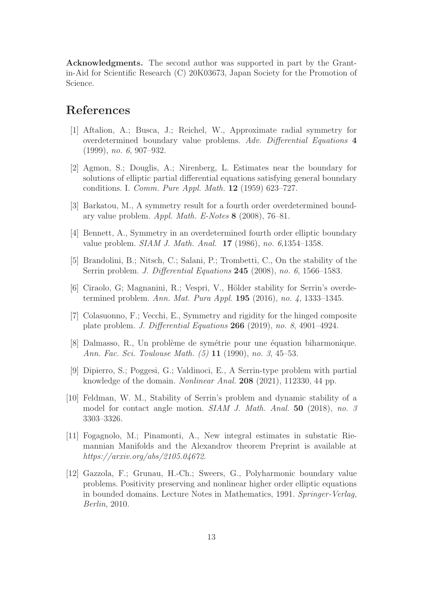Acknowledgments. The second author was supported in part by the Grantin-Aid for Scientific Research (C) 20K03673, Japan Society for the Promotion of Science.

# References

- [1] Aftalion, A.; Busca, J.; Reichel, W., Approximate radial symmetry for overdetermined boundary value problems. Adv. Differential Equations 4 (1999), no. 6, 907–932.
- [2] Agmon, S.; Douglis, A.; Nirenberg, L. Estimates near the boundary for solutions of elliptic partial differential equations satisfying general boundary conditions. I. Comm. Pure Appl. Math. 12 (1959) 623–727.
- [3] Barkatou, M., A symmetry result for a fourth order overdetermined boundary value problem. Appl. Math. E-Notes 8 (2008), 76–81.
- [4] Bennett, A., Symmetry in an overdetermined fourth order elliptic boundary value problem. SIAM J. Math. Anal. 17 (1986), no. 6,1354–1358.
- [5] Brandolini, B.; Nitsch, C.; Salani, P.; Trombetti, C., On the stability of the Serrin problem. J. Differential Equations 245 (2008), no. 6, 1566–1583.
- $[6]$  Ciraolo, G; Magnanini, R.; Vespri, V., Hölder stability for Serrin's overdetermined problem. Ann. Mat. Pura Appl. 195 (2016), no. 4, 1333–1345.
- [7] Colasuonno, F.; Vecchi, E., Symmetry and rigidity for the hinged composite plate problem. J. Differential Equations 266 (2019), no. 8, 4901–4924.
- [8] Dalmasso, R., Un problème de symétrie pour une équation biharmonique. Ann. Fac. Sci. Toulouse Math. (5) 11 (1990), no. 3, 45–53.
- [9] Dipierro, S.; Poggesi, G.; Valdinoci, E., A Serrin-type problem with partial knowledge of the domain. Nonlinear Anal. 208 (2021), 112330, 44 pp.
- [10] Feldman, W. M., Stability of Serrin's problem and dynamic stability of a model for contact angle motion. SIAM J. Math. Anal. 50 (2018), no. 3 3303–3326.
- [11] Fogagnolo, M.; Pinamonti, A., New integral estimates in substatic Riemannian Manifolds and the Alexandrov theorem Preprint is available at https://arxiv.org/abs/2105.04672.
- [12] Gazzola, F.; Grunau, H.-Ch.; Sweers, G., Polyharmonic boundary value problems. Positivity preserving and nonlinear higher order elliptic equations in bounded domains. Lecture Notes in Mathematics, 1991. Springer-Verlag, Berlin, 2010.